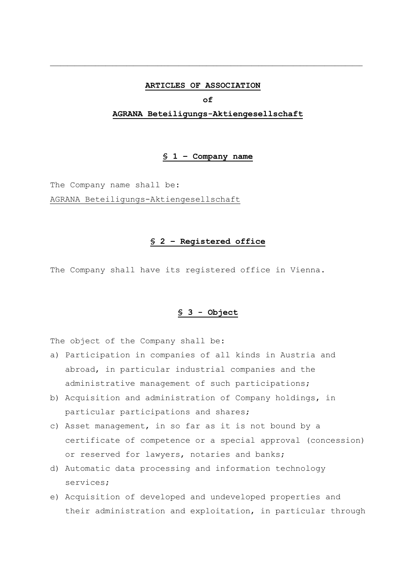#### **ARTICLES OF ASSOCIATION**

\_\_\_\_\_\_\_\_\_\_\_\_\_\_\_\_\_\_\_\_\_\_\_\_\_\_\_\_\_\_\_\_\_\_\_\_\_\_\_\_\_\_\_\_\_\_\_\_\_\_\_\_\_\_\_\_\_\_\_\_\_\_\_\_\_\_\_\_\_\_\_\_\_\_\_\_\_\_\_\_\_\_\_\_\_\_\_\_\_\_

**of**

#### **AGRANA Beteiligungs-Aktiengesellschaft**

#### **§ 1 – Company name**

The Company name shall be:

AGRANA Beteiligungs-Aktiengesellschaft

#### **§ 2 – Registered office**

The Company shall have its registered office in Vienna.

#### **§ 3 - Object**

The object of the Company shall be:

- a) Participation in companies of all kinds in Austria and abroad, in particular industrial companies and the administrative management of such participations;
- b) Acquisition and administration of Company holdings, in particular participations and shares;
- c) Asset management, in so far as it is not bound by a certificate of competence or a special approval (concession) or reserved for lawyers, notaries and banks;
- d) Automatic data processing and information technology services;
- e) Acquisition of developed and undeveloped properties and their administration and exploitation, in particular through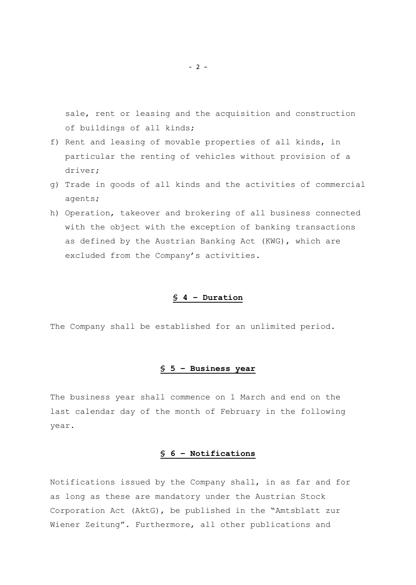sale, rent or leasing and the acquisition and construction of buildings of all kinds;

- f) Rent and leasing of movable properties of all kinds, in particular the renting of vehicles without provision of a driver;
- g) Trade in goods of all kinds and the activities of commercial agents;
- h) Operation, takeover and brokering of all business connected with the object with the exception of banking transactions as defined by the Austrian Banking Act (KWG), which are excluded from the Company's activities.

# **§ 4 – Duration**

The Company shall be established for an unlimited period.

# **§ 5 – Business year**

The business year shall commence on 1 March and end on the last calendar day of the month of February in the following year.

# **§ 6 – Notifications**

Notifications issued by the Company shall, in as far and for as long as these are mandatory under the Austrian Stock Corporation Act (AktG), be published in the "Amtsblatt zur Wiener Zeitung". Furthermore, all other publications and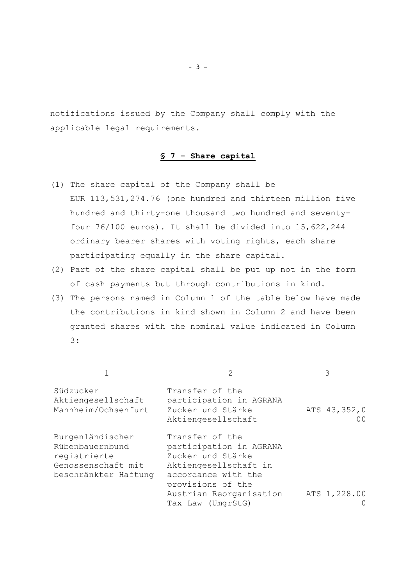notifications issued by the Company shall comply with the applicable legal requirements.

# **§ 7 – Share capital**

- (1) The share capital of the Company shall be EUR 113,531,274.76 (one hundred and thirteen million five hundred and thirty-one thousand two hundred and seventyfour 76/100 euros). It shall be divided into 15,622,244 ordinary bearer shares with voting rights, each share participating equally in the share capital.
- (2) Part of the share capital shall be put up not in the form of cash payments but through contributions in kind.
- (3) The persons named in Column 1 of the table below have made the contributions in kind shown in Column 2 and have been granted shares with the nominal value indicated in Column 3:

| Südzucker<br>Aktiengesellschaft<br>Mannheim/Ochsenfurt                                            | Transfer of the<br>participation in AGRANA<br>Zucker und Stärke<br>Aktiengesellschaft                                                | ATS 43, 352, 0<br>00 <sup>o</sup> |
|---------------------------------------------------------------------------------------------------|--------------------------------------------------------------------------------------------------------------------------------------|-----------------------------------|
| Burgenländischer<br>Rübenbauernbund<br>registrierte<br>Genossenschaft mit<br>beschränkter Haftung | Transfer of the<br>participation in AGRANA<br>Zucker und Stärke<br>Aktiengesellschaft in<br>accordance with the<br>provisions of the |                                   |
|                                                                                                   | Austrian Reorganisation<br>Tax Law (UmgrStG)                                                                                         | ATS 1,228.00                      |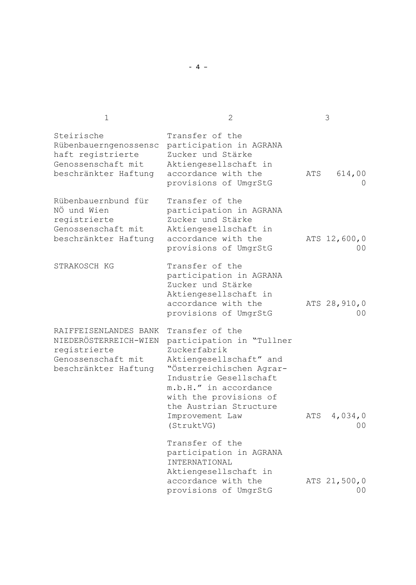| $\mathbf 1$                                                                                                  | 2                                                                                                                                                                                                                                                           |     | 3                                |
|--------------------------------------------------------------------------------------------------------------|-------------------------------------------------------------------------------------------------------------------------------------------------------------------------------------------------------------------------------------------------------------|-----|----------------------------------|
| Steirische<br>Rübenbauerngenossensc<br>haft registrierte<br>Genossenschaft mit<br>beschränkter Haftung       | Transfer of the<br>participation in AGRANA<br>Zucker und Stärke<br>Aktiengesellschaft in<br>accordance with the<br>provisions of UmgrStG                                                                                                                    | ATS | 614,00<br>$\Omega$               |
| Rübenbauernbund für<br>NÖ und Wien<br>registrierte<br>Genossenschaft mit<br>beschränkter Haftung             | Transfer of the<br>participation in AGRANA<br>Zucker und Stärke<br>Aktiengesellschaft in<br>accordance with the<br>provisions of UmgrStG                                                                                                                    |     | ATS 12,600,0<br>00               |
| STRAKOSCH KG                                                                                                 | Transfer of the<br>participation in AGRANA<br>Zucker und Stärke<br>Aktiengesellschaft in<br>accordance with the<br>provisions of UmgrStG                                                                                                                    |     | ATS 28, 910, 0<br>0 <sub>0</sub> |
| RAIFFEISENLANDES BANK<br>NIEDERÖSTERREICH-WIEN<br>registrierte<br>Genossenschaft mit<br>beschränkter Haftung | Transfer of the<br>participation in "Tullner<br>Zuckerfabrik<br>Aktiengesellschaft" and<br>"Österreichischen Agrar-<br>Industrie Gesellschaft<br>m.b.H." in accordance<br>with the provisions of<br>the Austrian Structure<br>Improvement Law<br>(StruktVG) | ATS | 4,034,0<br>00                    |
|                                                                                                              | Transfer of the<br>participation in AGRANA<br>INTERNATIONAL<br>Aktiengesellschaft in                                                                                                                                                                        |     |                                  |
|                                                                                                              | accordance with the<br>provisions of UmgrStG                                                                                                                                                                                                                |     | ATS 21,500,0<br>0 <sub>0</sub>   |

- 4 –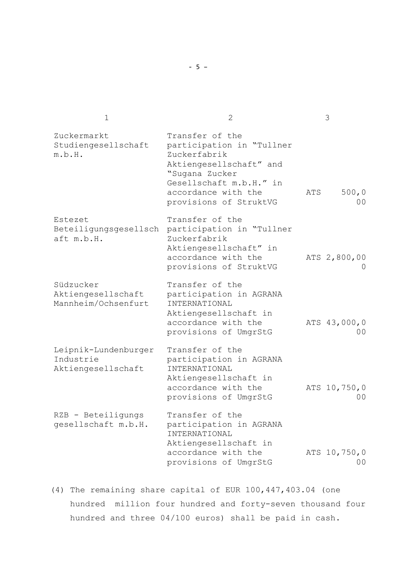| $\mathbf 1$                                             | $\overline{2}$                                                                                                                                                                        |     | 3                              |
|---------------------------------------------------------|---------------------------------------------------------------------------------------------------------------------------------------------------------------------------------------|-----|--------------------------------|
| Zuckermarkt<br>Studiengesellschaft<br>m.b.H.            | Transfer of the<br>participation in "Tullner<br>Zuckerfabrik<br>Aktiengesellschaft" and<br>"Sugana Zucker<br>Gesellschaft m.b.H." in<br>accordance with the<br>provisions of StruktVG | ATS | 500,0<br>0 <sub>0</sub>        |
| Estezet<br>aft m.b.H.                                   | Transfer of the<br>Beteiligungsgesellsch participation in "Tullner<br>Zuckerfabrik<br>Aktiengesellschaft" in<br>accordance with the<br>provisions of StruktVG                         |     | ATS 2,800,00                   |
| Südzucker<br>Aktiengesellschaft<br>Mannheim/Ochsenfurt  | Transfer of the<br>participation in AGRANA<br>INTERNATIONAL<br>Aktiengesellschaft in<br>accordance with the<br>provisions of UmgrStG                                                  |     | ATS 43,000,0<br>00             |
| Leipnik-Lundenburger<br>Industrie<br>Aktiengesellschaft | Transfer of the<br>participation in AGRANA<br>INTERNATIONAL<br>Aktiengesellschaft in<br>accordance with the<br>provisions of UmgrStG                                                  |     | ATS 10,750,0<br>0 <sub>0</sub> |
| RZB - Beteiligungs<br>gesellschaft m.b.H.               | Transfer of the<br>participation in AGRANA<br>INTERNATIONAL<br>Aktiengesellschaft in<br>accordance with the<br>provisions of UmgrStG                                                  |     | ATS 10,750,0<br>00             |

(4) The remaining share capital of EUR 100,447,403.04 (one hundred million four hundred and forty-seven thousand four hundred and three 04/100 euros) shall be paid in cash.

- 5 –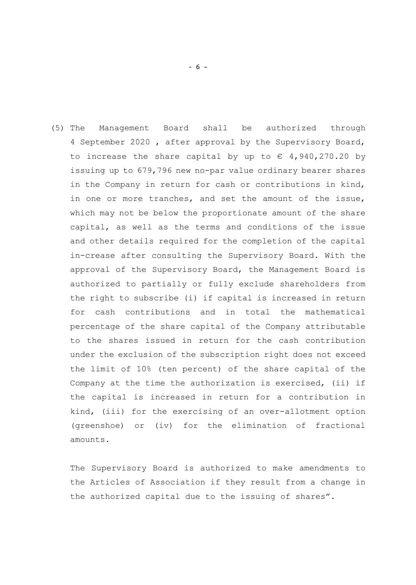(5) The Management Board shall be authorized through 4 September 2020 , after approval by the Supervisory Board, to increase the share capital by up to  $\epsilon$  4,940,270.20 by issuing up to 679,796 new no-par value ordinary bearer shares in the Company in return for cash or contributions in kind, in one or more tranches, and set the amount of the issue, which may not be below the proportionate amount of the share capital, as well as the terms and conditions of the issue and other details required for the completion of the capital in-crease after consulting the Supervisory Board. With the approval of the Supervisory Board, the Management Board is authorized to partially or fully exclude shareholders from the right to subscribe (i) if capital is increased in return for cash contributions and in total the mathematical percentage of the share capital of the Company attributable to the shares issued in return for the cash contribution under the exclusion of the subscription right does not exceed the limit of 10% (ten percent) of the share capital of the Company at the time the authorization is exercised, (ii) if the capital is increased in return for a contribution in kind, (iii) for the exercising of an over-allotment option (greenshoe) or (iv) for the elimination of fractional amounts.

The Supervisory Board is authorized to make amendments to the Articles of Association if they result from a change in the authorized capital due to the issuing of shares".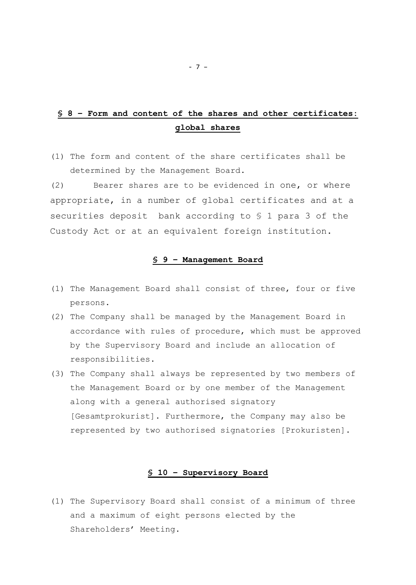# **§ 8 – Form and content of the shares and other certificates: global shares**

(1) The form and content of the share certificates shall be determined by the Management Board.

(2) Bearer shares are to be evidenced in one, or where appropriate, in a number of global certificates and at a securities deposit bank according to § 1 para 3 of the Custody Act or at an equivalent foreign institution.

### **§ 9 – Management Board**

- (1) The Management Board shall consist of three, four or five persons.
- (2) The Company shall be managed by the Management Board in accordance with rules of procedure, which must be approved by the Supervisory Board and include an allocation of responsibilities.
- (3) The Company shall always be represented by two members of the Management Board or by one member of the Management along with a general authorised signatory [Gesamtprokurist]. Furthermore, the Company may also be represented by two authorised signatories [Prokuristen].

### **§ 10 – Supervisory Board**

(1) The Supervisory Board shall consist of a minimum of three and a maximum of eight persons elected by the Shareholders' Meeting.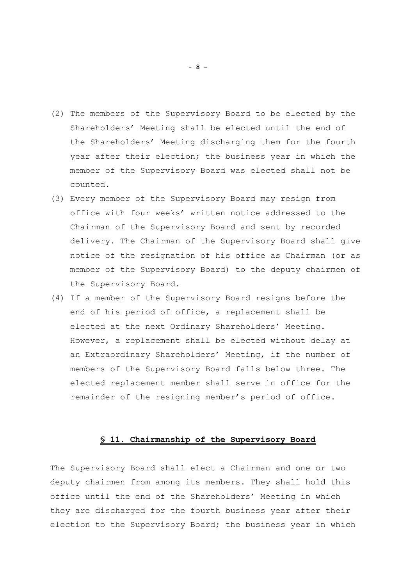- (2) The members of the Supervisory Board to be elected by the Shareholders' Meeting shall be elected until the end of the Shareholders' Meeting discharging them for the fourth year after their election; the business year in which the member of the Supervisory Board was elected shall not be counted.
- (3) Every member of the Supervisory Board may resign from office with four weeks' written notice addressed to the Chairman of the Supervisory Board and sent by recorded delivery. The Chairman of the Supervisory Board shall give notice of the resignation of his office as Chairman (or as member of the Supervisory Board) to the deputy chairmen of the Supervisory Board.
- (4) If a member of the Supervisory Board resigns before the end of his period of office, a replacement shall be elected at the next Ordinary Shareholders' Meeting. However, a replacement shall be elected without delay at an Extraordinary Shareholders' Meeting, if the number of members of the Supervisory Board falls below three. The elected replacement member shall serve in office for the remainder of the resigning member's period of office.

## **§ 11. Chairmanship of the Supervisory Board**

The Supervisory Board shall elect a Chairman and one or two deputy chairmen from among its members. They shall hold this office until the end of the Shareholders' Meeting in which they are discharged for the fourth business year after their election to the Supervisory Board; the business year in which

- 8 –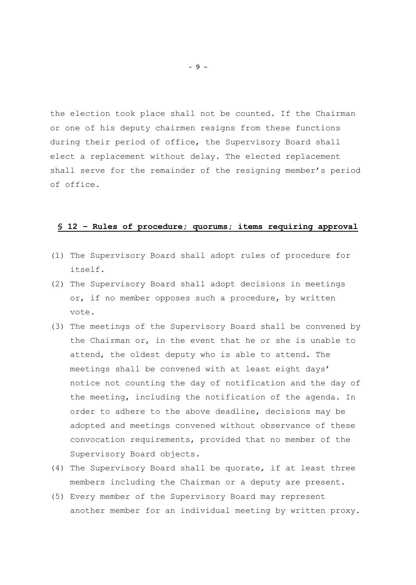the election took place shall not be counted. If the Chairman or one of his deputy chairmen resigns from these functions during their period of office, the Supervisory Board shall elect a replacement without delay. The elected replacement shall serve for the remainder of the resigning member's period of office.

# **§ 12 – Rules of procedure; quorums; items requiring approval**

- (1) The Supervisory Board shall adopt rules of procedure for itself.
- (2) The Supervisory Board shall adopt decisions in meetings or, if no member opposes such a procedure, by written vote.
- (3) The meetings of the Supervisory Board shall be convened by the Chairman or, in the event that he or she is unable to attend, the oldest deputy who is able to attend. The meetings shall be convened with at least eight days' notice not counting the day of notification and the day of the meeting, including the notification of the agenda. In order to adhere to the above deadline, decisions may be adopted and meetings convened without observance of these convocation requirements, provided that no member of the Supervisory Board objects.
- (4) The Supervisory Board shall be quorate, if at least three members including the Chairman or a deputy are present.
- (5) Every member of the Supervisory Board may represent another member for an individual meeting by written proxy.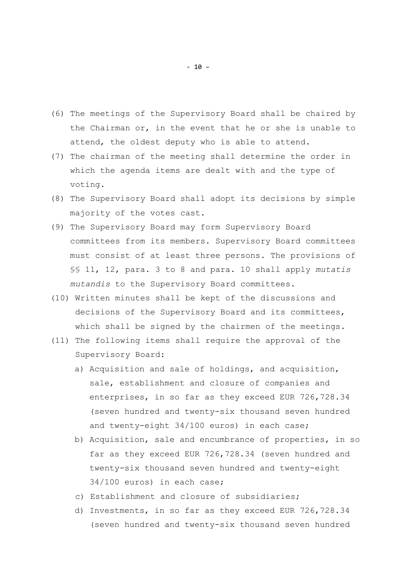- (6) The meetings of the Supervisory Board shall be chaired by the Chairman or, in the event that he or she is unable to attend, the oldest deputy who is able to attend.
- (7) The chairman of the meeting shall determine the order in which the agenda items are dealt with and the type of voting.
- (8) The Supervisory Board shall adopt its decisions by simple majority of the votes cast.
- (9) The Supervisory Board may form Supervisory Board committees from its members. Supervisory Board committees must consist of at least three persons. The provisions of §§ 11, 12, para. 3 to 8 and para. 10 shall apply *mutatis mutandis* to the Supervisory Board committees.
- (10) Written minutes shall be kept of the discussions and decisions of the Supervisory Board and its committees, which shall be signed by the chairmen of the meetings.
- (11) The following items shall require the approval of the Supervisory Board:
	- a) Acquisition and sale of holdings, and acquisition, sale, establishment and closure of companies and enterprises, in so far as they exceed EUR 726,728.34 (seven hundred and twenty-six thousand seven hundred and twenty-eight 34/100 euros) in each case;
	- b) Acquisition, sale and encumbrance of properties, in so far as they exceed EUR 726,728.34 (seven hundred and twenty-six thousand seven hundred and twenty-eight 34/100 euros) in each case;
	- c) Establishment and closure of subsidiaries;
	- d) Investments, in so far as they exceed EUR 726,728.34 (seven hundred and twenty-six thousand seven hundred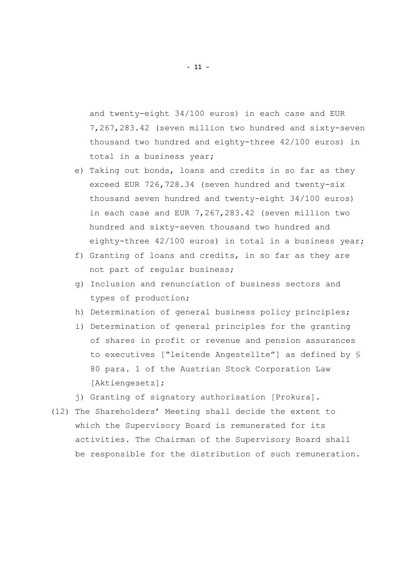and twenty-eight 34/100 euros) in each case and EUR 7,267,283.42 (seven million two hundred and sixty-seven thousand two hundred and eighty-three 42/100 euros) in total in a business year;

- e) Taking out bonds, loans and credits in so far as they exceed EUR 726,728.34 (seven hundred and twenty-six thousand seven hundred and twenty-eight 34/100 euros) in each case and EUR 7,267,283.42 (seven million two hundred and sixty-seven thousand two hundred and eighty-three 42/100 euros) in total in a business year;
- f) Granting of loans and credits, in so far as they are not part of regular business;
- g) Inclusion and renunciation of business sectors and types of production;
- h) Determination of general business policy principles;
- i) Determination of general principles for the granting of shares in profit or revenue and pension assurances to executives ["leitende Angestellte"] as defined by § 80 para. 1 of the Austrian Stock Corporation Law [Aktiengesetz];
- j) Granting of signatory authorisation [Prokura].
- (12) The Shareholders' Meeting shall decide the extent to which the Supervisory Board is remunerated for its activities. The Chairman of the Supervisory Board shall be responsible for the distribution of such remuneration.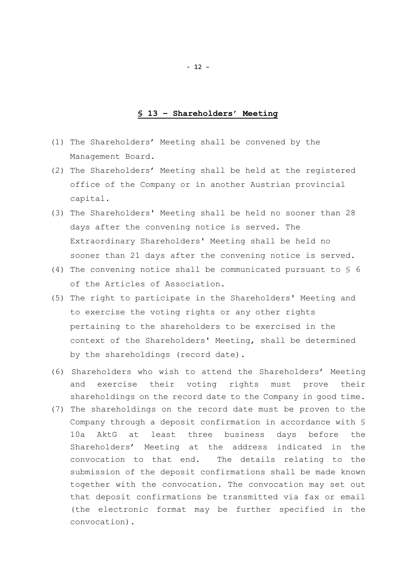#### **§ 13 – Shareholders' Meeting**

- (1) The Shareholders' Meeting shall be convened by the Management Board.
- (2) The Shareholders' Meeting shall be held at the registered office of the Company or in another Austrian provincial capital.
- (3) The Shareholders' Meeting shall be held no sooner than 28 days after the convening notice is served. The Extraordinary Shareholders' Meeting shall be held no sooner than 21 days after the convening notice is served.
- (4) The convening notice shall be communicated pursuant to § 6 of the Articles of Association.
- (5) The right to participate in the Shareholders' Meeting and to exercise the voting rights or any other rights pertaining to the shareholders to be exercised in the context of the Shareholders' Meeting, shall be determined by the shareholdings (record date).
- (6) Shareholders who wish to attend the Shareholders' Meeting and exercise their voting rights must prove their shareholdings on the record date to the Company in good time.
- (7) The shareholdings on the record date must be proven to the Company through a deposit confirmation in accordance with § 10a AktG at least three business days before the Shareholders' Meeting at the address indicated in the convocation to that end. The details relating to the submission of the deposit confirmations shall be made known together with the convocation. The convocation may set out that deposit confirmations be transmitted via fax or email (the electronic format may be further specified in the convocation).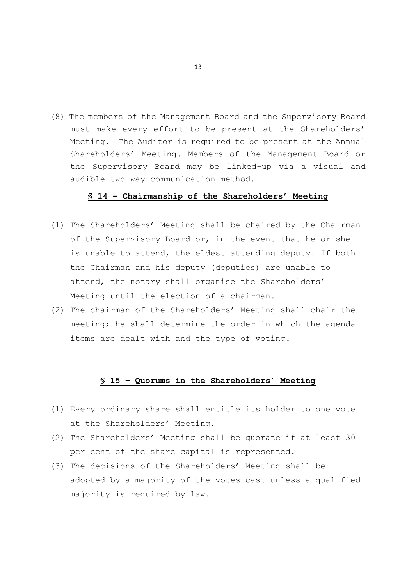(8) The members of the Management Board and the Supervisory Board must make every effort to be present at the Shareholders' Meeting. The Auditor is required to be present at the Annual Shareholders' Meeting. Members of the Management Board or the Supervisory Board may be linked-up via a visual and audible two-way communication method.

#### **§ 14 – Chairmanship of the Shareholders' Meeting**

- (1) The Shareholders' Meeting shall be chaired by the Chairman of the Supervisory Board or, in the event that he or she is unable to attend, the eldest attending deputy. If both the Chairman and his deputy (deputies) are unable to attend, the notary shall organise the Shareholders' Meeting until the election of a chairman.
- (2) The chairman of the Shareholders' Meeting shall chair the meeting; he shall determine the order in which the agenda items are dealt with and the type of voting.

#### **§ 15 – Quorums in the Shareholders' Meeting**

- (1) Every ordinary share shall entitle its holder to one vote at the Shareholders' Meeting.
- (2) The Shareholders' Meeting shall be quorate if at least 30 per cent of the share capital is represented.
- (3) The decisions of the Shareholders' Meeting shall be adopted by a majority of the votes cast unless a qualified majority is required by law.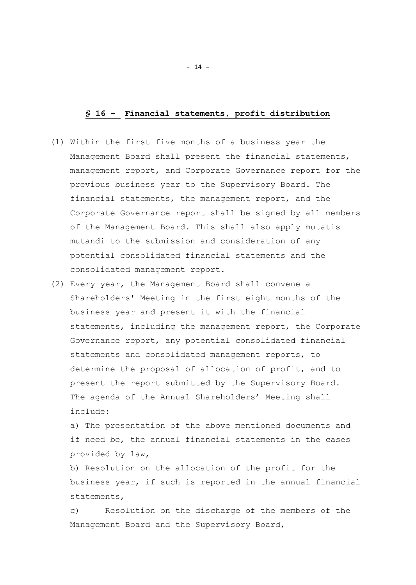#### **§ 16 – Financial statements, profit distribution**

- (1) Within the first five months of a business year the Management Board shall present the financial statements, management report, and Corporate Governance report for the previous business year to the Supervisory Board. The financial statements, the management report, and the Corporate Governance report shall be signed by all members of the Management Board. This shall also apply mutatis mutandi to the submission and consideration of any potential consolidated financial statements and the consolidated management report.
- (2) Every year, the Management Board shall convene a Shareholders' Meeting in the first eight months of the business year and present it with the financial statements, including the management report, the Corporate Governance report, any potential consolidated financial statements and consolidated management reports, to determine the proposal of allocation of profit, and to present the report submitted by the Supervisory Board. The agenda of the Annual Shareholders' Meeting shall include:

a) The presentation of the above mentioned documents and if need be, the annual financial statements in the cases provided by law,

b) Resolution on the allocation of the profit for the business year, if such is reported in the annual financial statements,

c) Resolution on the discharge of the members of the Management Board and the Supervisory Board,

- 14 –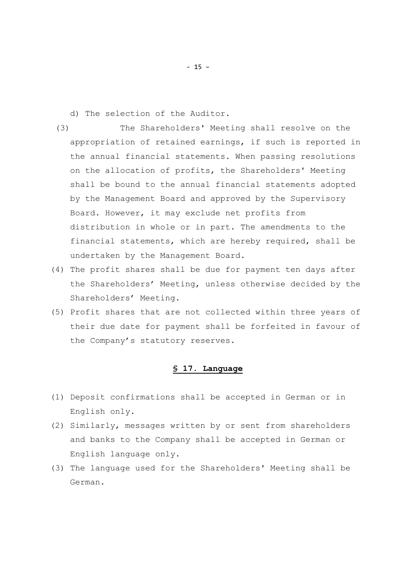d) The selection of the Auditor.

- (3) The Shareholders' Meeting shall resolve on the appropriation of retained earnings, if such is reported in the annual financial statements. When passing resolutions on the allocation of profits, the Shareholders' Meeting shall be bound to the annual financial statements adopted by the Management Board and approved by the Supervisory Board. However, it may exclude net profits from distribution in whole or in part. The amendments to the financial statements, which are hereby required, shall be undertaken by the Management Board.
- (4) The profit shares shall be due for payment ten days after the Shareholders' Meeting, unless otherwise decided by the Shareholders' Meeting.
- (5) Profit shares that are not collected within three years of their due date for payment shall be forfeited in favour of the Company's statutory reserves.

#### **§ 17. Language**

- (1) Deposit confirmations shall be accepted in German or in English only.
- (2) Similarly, messages written by or sent from shareholders and banks to the Company shall be accepted in German or English language only.
- (3) The language used for the Shareholders' Meeting shall be German.